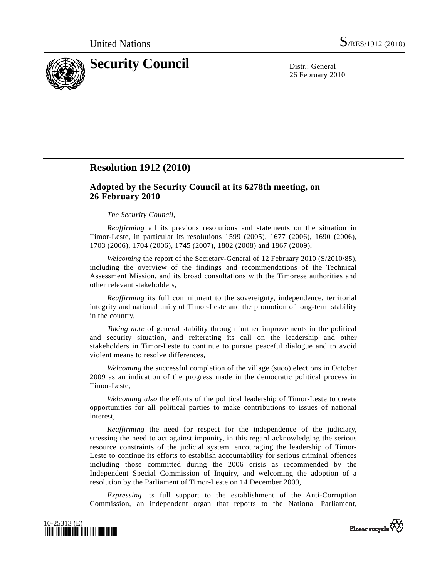

26 February 2010

## **Resolution 1912 (2010)**

## **Adopted by the Security Council at its 6278th meeting, on 26 February 2010**

## *The Security Council*,

*Reaffirming* all its previous resolutions and statements on the situation in Timor-Leste, in particular its resolutions 1599 (2005), 1677 (2006), 1690 (2006), 1703 (2006), 1704 (2006), 1745 (2007), 1802 (2008) and 1867 (2009),

*Welcoming* the report of the Secretary-General of 12 February 2010 (S/2010/85), including the overview of the findings and recommendations of the Technical Assessment Mission, and its broad consultations with the Timorese authorities and other relevant stakeholders,

*Reaffirming* its full commitment to the sovereignty, independence, territorial integrity and national unity of Timor-Leste and the promotion of long-term stability in the country,

*Taking note* of general stability through further improvements in the political and security situation, and reiterating its call on the leadership and other stakeholders in Timor-Leste to continue to pursue peaceful dialogue and to avoid violent means to resolve differences,

*Welcoming* the successful completion of the village (suco) elections in October 2009 as an indication of the progress made in the democratic political process in Timor-Leste,

*Welcoming also* the efforts of the political leadership of Timor-Leste to create opportunities for all political parties to make contributions to issues of national interest,

*Reaffirming* the need for respect for the independence of the judiciary, stressing the need to act against impunity, in this regard acknowledging the serious resource constraints of the judicial system, encouraging the leadership of Timor-Leste to continue its efforts to establish accountability for serious criminal offences including those committed during the 2006 crisis as recommended by the Independent Special Commission of Inquiry, and welcoming the adoption of a resolution by the Parliament of Timor-Leste on 14 December 2009,

*Expressing* its full support to the establishment of the Anti-Corruption Commission, an independent organ that reports to the National Parliament,



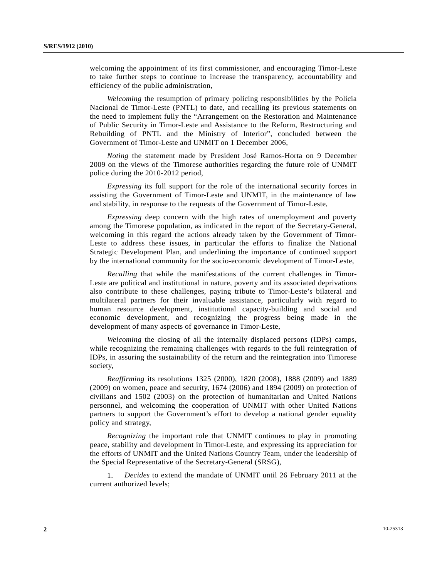welcoming the appointment of its first commissioner, and encouraging Timor-Leste to take further steps to continue to increase the transparency, accountability and efficiency of the public administration,

*Welcoming* the resumption of primary policing responsibilities by the Polícia Nacional de Timor-Leste (PNTL) to date, and recalling its previous statements on the need to implement fully the "Arrangement on the Restoration and Maintenance of Public Security in Timor-Leste and Assistance to the Reform, Restructuring and Rebuilding of PNTL and the Ministry of Interior", concluded between the Government of Timor-Leste and UNMIT on 1 December 2006,

*Noting* the statement made by President José Ramos-Horta on 9 December 2009 on the views of the Timorese authorities regarding the future role of UNMIT police during the 2010-2012 period,

*Expressing* its full support for the role of the international security forces in assisting the Government of Timor-Leste and UNMIT, in the maintenance of law and stability, in response to the requests of the Government of Timor-Leste,

*Expressing* deep concern with the high rates of unemployment and poverty among the Timorese population, as indicated in the report of the Secretary-General, welcoming in this regard the actions already taken by the Government of Timor-Leste to address these issues, in particular the efforts to finalize the National Strategic Development Plan, and underlining the importance of continued support by the international community for the socio-economic development of Timor-Leste,

*Recalling* that while the manifestations of the current challenges in Timor-Leste are political and institutional in nature, poverty and its associated deprivations also contribute to these challenges, paying tribute to Timor-Leste's bilateral and multilateral partners for their invaluable assistance, particularly with regard to human resource development, institutional capacity-building and social and economic development, and recognizing the progress being made in the development of many aspects of governance in Timor-Leste,

*Welcoming* the closing of all the internally displaced persons (IDPs) camps, while recognizing the remaining challenges with regards to the full reintegration of IDPs, in assuring the sustainability of the return and the reintegration into Timorese society,

*Reaffirming* its resolutions 1325 (2000), 1820 (2008), 1888 (2009) and 1889 (2009) on women, peace and security, 1674 (2006) and 1894 (2009) on protection of civilians and 1502 (2003) on the protection of humanitarian and United Nations personnel, and welcoming the cooperation of UNMIT with other United Nations partners to support the Government's effort to develop a national gender equality policy and strategy,

*Recognizing* the important role that UNMIT continues to play in promoting peace, stability and development in Timor-Leste, and expressing its appreciation for the efforts of UNMIT and the United Nations Country Team, under the leadership of the Special Representative of the Secretary-General (SRSG),

 1. *Decides* to extend the mandate of UNMIT until 26 February 2011 at the current authorized levels;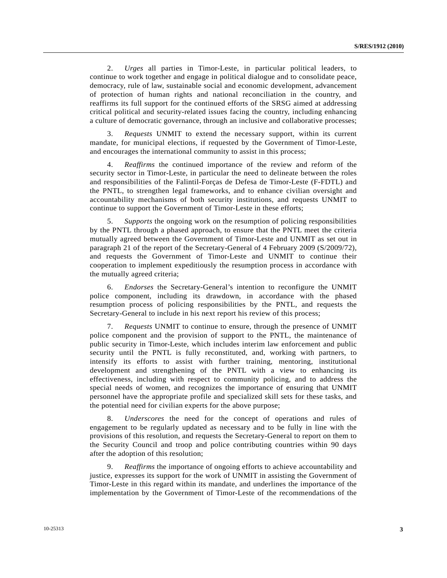2. *Urges* all parties in Timor-Leste, in particular political leaders, to continue to work together and engage in political dialogue and to consolidate peace, democracy, rule of law, sustainable social and economic development, advancement of protection of human rights and national reconciliation in the country, and reaffirms its full support for the continued efforts of the SRSG aimed at addressing critical political and security-related issues facing the country, including enhancing a culture of democratic governance, through an inclusive and collaborative processes;

 3. *Requests* UNMIT to extend the necessary support, within its current mandate, for municipal elections, if requested by the Government of Timor-Leste, and encourages the international community to assist in this process;

 4. *Reaffirms* the continued importance of the review and reform of the security sector in Timor-Leste, in particular the need to delineate between the roles and responsibilities of the Falintil-Forças de Defesa de Timor-Leste (F-FDTL) and the PNTL, to strengthen legal frameworks, and to enhance civilian oversight and accountability mechanisms of both security institutions, and requests UNMIT to continue to support the Government of Timor-Leste in these efforts;

 5. *Supports* the ongoing work on the resumption of policing responsibilities by the PNTL through a phased approach, to ensure that the PNTL meet the criteria mutually agreed between the Government of Timor-Leste and UNMIT as set out in paragraph 21 of the report of the Secretary-General of 4 February 2009 (S/2009/72), and requests the Government of Timor-Leste and UNMIT to continue their cooperation to implement expeditiously the resumption process in accordance with the mutually agreed criteria;

 6. *Endorses* the Secretary-General's intention to reconfigure the UNMIT police component, including its drawdown, in accordance with the phased resumption process of policing responsibilities by the PNTL, and requests the Secretary-General to include in his next report his review of this process;

 7. *Requests* UNMIT to continue to ensure, through the presence of UNMIT police component and the provision of support to the PNTL, the maintenance of public security in Timor-Leste, which includes interim law enforcement and public security until the PNTL is fully reconstituted, and, working with partners, to intensify its efforts to assist with further training, mentoring, institutional development and strengthening of the PNTL with a view to enhancing its effectiveness, including with respect to community policing, and to address the special needs of women, and recognizes the importance of ensuring that UNMIT personnel have the appropriate profile and specialized skill sets for these tasks, and the potential need for civilian experts for the above purpose;

 8. *Underscores* the need for the concept of operations and rules of engagement to be regularly updated as necessary and to be fully in line with the provisions of this resolution, and requests the Secretary-General to report on them to the Security Council and troop and police contributing countries within 90 days after the adoption of this resolution;

 9. *Reaffirms* the importance of ongoing efforts to achieve accountability and justice, expresses its support for the work of UNMIT in assisting the Government of Timor-Leste in this regard within its mandate, and underlines the importance of the implementation by the Government of Timor-Leste of the recommendations of the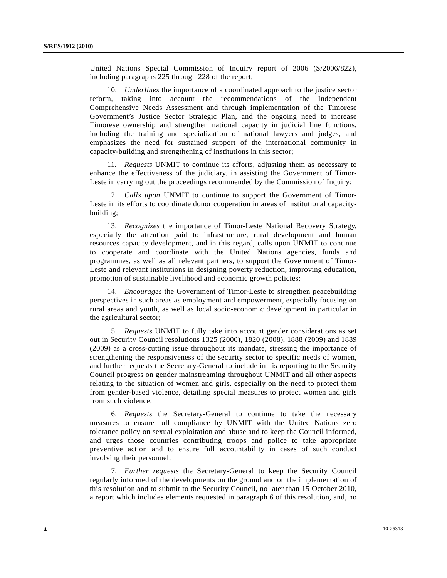United Nations Special Commission of Inquiry report of 2006 (S/2006/822), including paragraphs 225 through 228 of the report;

 10. *Underlines* the importance of a coordinated approach to the justice sector reform, taking into account the recommendations of the Independent Comprehensive Needs Assessment and through implementation of the Timorese Government's Justice Sector Strategic Plan, and the ongoing need to increase Timorese ownership and strengthen national capacity in judicial line functions, including the training and specialization of national lawyers and judges, and emphasizes the need for sustained support of the international community in capacity-building and strengthening of institutions in this sector;

 11. *Requests* UNMIT to continue its efforts, adjusting them as necessary to enhance the effectiveness of the judiciary, in assisting the Government of Timor-Leste in carrying out the proceedings recommended by the Commission of Inquiry;

 12. *Calls upon* UNMIT to continue to support the Government of Timor-Leste in its efforts to coordinate donor cooperation in areas of institutional capacitybuilding;

 13. *Recognizes* the importance of Timor-Leste National Recovery Strategy, especially the attention paid to infrastructure, rural development and human resources capacity development, and in this regard, calls upon UNMIT to continue to cooperate and coordinate with the United Nations agencies, funds and programmes, as well as all relevant partners, to support the Government of Timor-Leste and relevant institutions in designing poverty reduction, improving education, promotion of sustainable livelihood and economic growth policies;

 14. *Encourages* the Government of Timor-Leste to strengthen peacebuilding perspectives in such areas as employment and empowerment, especially focusing on rural areas and youth, as well as local socio-economic development in particular in the agricultural sector;

 15. *Requests* UNMIT to fully take into account gender considerations as set out in Security Council resolutions 1325 (2000), 1820 (2008), 1888 (2009) and 1889 (2009) as a cross-cutting issue throughout its mandate, stressing the importance of strengthening the responsiveness of the security sector to specific needs of women, and further requests the Secretary-General to include in his reporting to the Security Council progress on gender mainstreaming throughout UNMIT and all other aspects relating to the situation of women and girls, especially on the need to protect them from gender-based violence, detailing special measures to protect women and girls from such violence;

 16. *Requests* the Secretary-General to continue to take the necessary measures to ensure full compliance by UNMIT with the United Nations zero tolerance policy on sexual exploitation and abuse and to keep the Council informed, and urges those countries contributing troops and police to take appropriate preventive action and to ensure full accountability in cases of such conduct involving their personnel;

 17. *Further requests* the Secretary-General to keep the Security Council regularly informed of the developments on the ground and on the implementation of this resolution and to submit to the Security Council, no later than 15 October 2010, a report which includes elements requested in paragraph 6 of this resolution, and, no